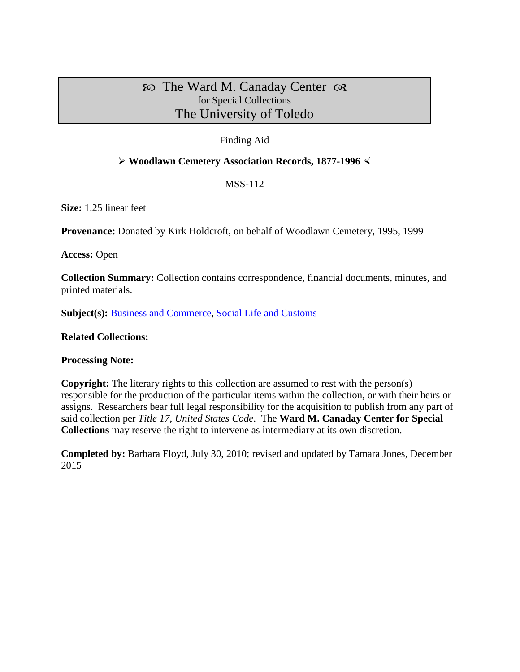# $\infty$  The Ward M. Canaday Center  $\infty$ for Special Collections The University of Toledo

# Finding Aid

# **Woodlawn Cemetery Association Records, 1877-1996**

# MSS-112

**Size:** 1.25 linear feet

**Provenance:** Donated by Kirk Holdcroft, on behalf of Woodlawn Cemetery, 1995, 1999

**Access:** Open

**Collection Summary:** Collection contains correspondence, financial documents, minutes, and printed materials.

**Subject(s): [Business and Commerce,](http://www.utoledo.edu/library/canaday/guidepages/business.html) [Social Life and Customs](http://www.utoledo.edu/library/canaday/guidepages/socialife.html)** 

#### **Related Collections:**

#### **Processing Note:**

**Copyright:** The literary rights to this collection are assumed to rest with the person(s) responsible for the production of the particular items within the collection, or with their heirs or assigns. Researchers bear full legal responsibility for the acquisition to publish from any part of said collection per *Title 17, United States Code*. The **Ward M. Canaday Center for Special Collections** may reserve the right to intervene as intermediary at its own discretion.

**Completed by:** Barbara Floyd, July 30, 2010; revised and updated by Tamara Jones, December 2015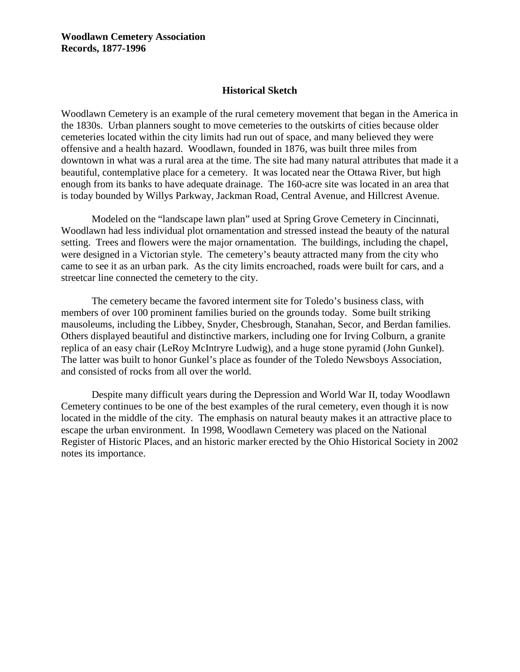**Woodlawn Cemetery Association Records, 1877-1996**

#### **Historical Sketch**

Woodlawn Cemetery is an example of the rural cemetery movement that began in the America in the 1830s. Urban planners sought to move cemeteries to the outskirts of cities because older cemeteries located within the city limits had run out of space, and many believed they were offensive and a health hazard. Woodlawn, founded in 1876, was built three miles from downtown in what was a rural area at the time. The site had many natural attributes that made it a beautiful, contemplative place for a cemetery. It was located near the Ottawa River, but high enough from its banks to have adequate drainage. The 160-acre site was located in an area that is today bounded by Willys Parkway, Jackman Road, Central Avenue, and Hillcrest Avenue.

Modeled on the "landscape lawn plan" used at Spring Grove Cemetery in Cincinnati, Woodlawn had less individual plot ornamentation and stressed instead the beauty of the natural setting. Trees and flowers were the major ornamentation. The buildings, including the chapel, were designed in a Victorian style. The cemetery's beauty attracted many from the city who came to see it as an urban park. As the city limits encroached, roads were built for cars, and a streetcar line connected the cemetery to the city.

The cemetery became the favored interment site for Toledo's business class, with members of over 100 prominent families buried on the grounds today. Some built striking mausoleums, including the Libbey, Snyder, Chesbrough, Stanahan, Secor, and Berdan families. Others displayed beautiful and distinctive markers, including one for Irving Colburn, a granite replica of an easy chair (LeRoy McIntryre Ludwig), and a huge stone pyramid (John Gunkel). The latter was built to honor Gunkel's place as founder of the Toledo Newsboys Association, and consisted of rocks from all over the world.

Despite many difficult years during the Depression and World War II, today Woodlawn Cemetery continues to be one of the best examples of the rural cemetery, even though it is now located in the middle of the city. The emphasis on natural beauty makes it an attractive place to escape the urban environment. In 1998, Woodlawn Cemetery was placed on the National Register of Historic Places, and an historic marker erected by the Ohio Historical Society in 2002 notes its importance.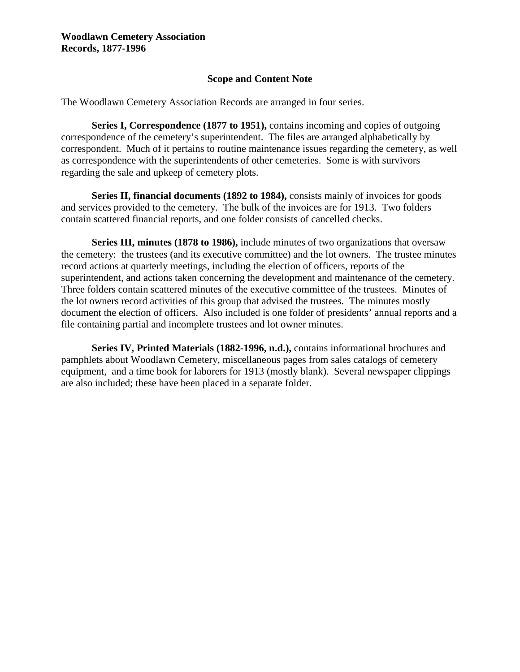# **Scope and Content Note**

The Woodlawn Cemetery Association Records are arranged in four series.

**Series I, Correspondence (1877 to 1951),** contains incoming and copies of outgoing correspondence of the cemetery's superintendent. The files are arranged alphabetically by correspondent. Much of it pertains to routine maintenance issues regarding the cemetery, as well as correspondence with the superintendents of other cemeteries. Some is with survivors regarding the sale and upkeep of cemetery plots.

**Series II, financial documents (1892 to 1984),** consists mainly of invoices for goods and services provided to the cemetery. The bulk of the invoices are for 1913. Two folders contain scattered financial reports, and one folder consists of cancelled checks.

**Series III, minutes (1878 to 1986),** include minutes of two organizations that oversaw the cemetery: the trustees (and its executive committee) and the lot owners. The trustee minutes record actions at quarterly meetings, including the election of officers, reports of the superintendent, and actions taken concerning the development and maintenance of the cemetery. Three folders contain scattered minutes of the executive committee of the trustees. Minutes of the lot owners record activities of this group that advised the trustees. The minutes mostly document the election of officers. Also included is one folder of presidents' annual reports and a file containing partial and incomplete trustees and lot owner minutes.

**Series IV, Printed Materials (1882-1996, n.d.),** contains informational brochures and pamphlets about Woodlawn Cemetery, miscellaneous pages from sales catalogs of cemetery equipment, and a time book for laborers for 1913 (mostly blank). Several newspaper clippings are also included; these have been placed in a separate folder.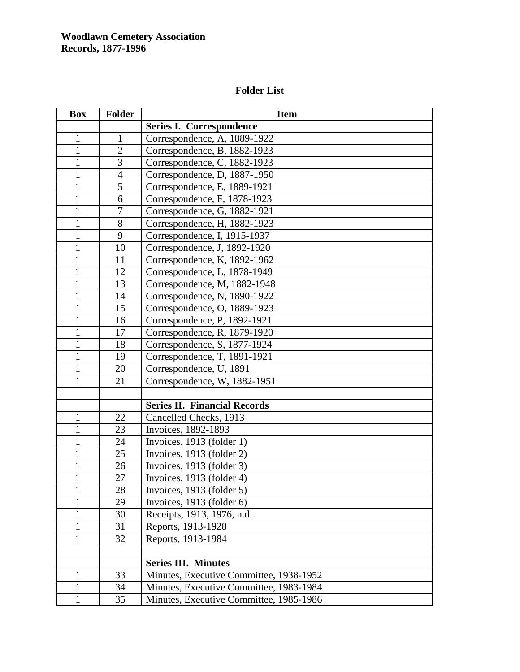# **Folder List**

| <b>Box</b>   | <b>Folder</b>  | <b>Item</b>                             |
|--------------|----------------|-----------------------------------------|
|              |                | <b>Series I. Correspondence</b>         |
| $\mathbf{1}$ | $\mathbf{1}$   | Correspondence, A, 1889-1922            |
| $\mathbf{1}$ | $\overline{2}$ | Correspondence, B, 1882-1923            |
| $\mathbf{1}$ | 3              | Correspondence, C, 1882-1923            |
| $\mathbf{1}$ | $\overline{4}$ | Correspondence, D, 1887-1950            |
| 1            | 5              | Correspondence, E, 1889-1921            |
| $\mathbf{1}$ | 6              | Correspondence, F, 1878-1923            |
| $\mathbf{1}$ | $\overline{7}$ | Correspondence, G, 1882-1921            |
| $\mathbf{1}$ | 8              | Correspondence, H, 1882-1923            |
| 1            | 9              | Correspondence, I, 1915-1937            |
| $\mathbf{1}$ | 10             | Correspondence, J, 1892-1920            |
| $\mathbf{1}$ | 11             | Correspondence, K, 1892-1962            |
| $\mathbf{1}$ | 12             | Correspondence, L, 1878-1949            |
| $\mathbf{1}$ | 13             | Correspondence, M, 1882-1948            |
| $\mathbf{1}$ | 14             | Correspondence, N, 1890-1922            |
| $\mathbf{1}$ | 15             | Correspondence, O, 1889-1923            |
| $\mathbf{1}$ | 16             | Correspondence, P, 1892-1921            |
| $\mathbf{1}$ | 17             | Correspondence, R, 1879-1920            |
| $\mathbf{1}$ | 18             | Correspondence, S, 1877-1924            |
| $\mathbf{1}$ | 19             | Correspondence, T, 1891-1921            |
| $\mathbf{1}$ | 20             | Correspondence, U, 1891                 |
| 1            | 21             | Correspondence, W, 1882-1951            |
|              |                |                                         |
|              |                | <b>Series II. Financial Records</b>     |
| $\mathbf{1}$ | 22             | Cancelled Checks, 1913                  |
| 1            | 23             | Invoices, 1892-1893                     |
| 1            | 24             | Invoices, 1913 (folder 1)               |
| $\mathbf{1}$ | 25             | Invoices, 1913 (folder 2)               |
| $\mathbf{1}$ | 26             | Invoices, 1913 (folder 3)               |
| $\mathbf{1}$ | 27             | Invoices, 1913 (folder 4)               |
| 1            | 28             | Invoices, 1913 (folder 5)               |
| 1            | 29             | Invoices, 1913 (folder 6)               |
| 1            | 30             | Receipts, 1913, 1976, n.d.              |
| $\mathbf{1}$ | 31             | Reports, 1913-1928                      |
| $\mathbf{1}$ | 32             | Reports, 1913-1984                      |
|              |                |                                         |
|              |                | <b>Series III. Minutes</b>              |
| $\mathbf{1}$ | 33             | Minutes, Executive Committee, 1938-1952 |
| 1            | 34             | Minutes, Executive Committee, 1983-1984 |
| 1            | 35             | Minutes, Executive Committee, 1985-1986 |